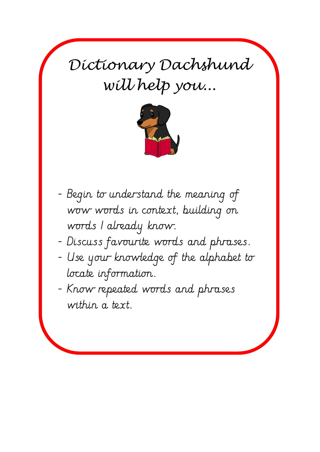*Dictionary Dachshund will help you...*



- Begin to understand the meaning of wow words in context, building on words I already know.
- Discuss favourite words and phrases.
- Use your knowledge of the alphabet to locate information.
- Know repeated words and phrases within a text.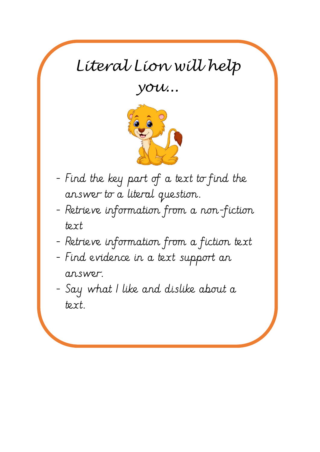## *Literal Lion will help*

*you...*



- Find the key part of a text to find the answer to a literal question.
- Retrieve information from a non-fiction text
- Retrieve information from a fiction text
- Find evidence in a text support an answer.
- Say what I like and dislike about a text.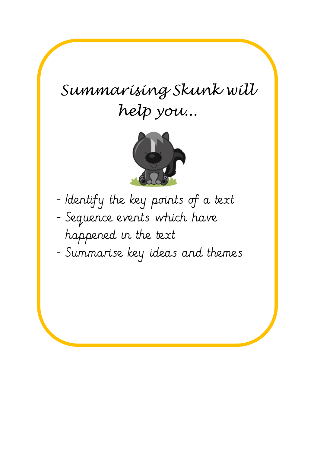## *Summarising Skunk will help you...*



- Identify the key points of a text - Sequence events which have happened in the text
- Summarise key ideas and themes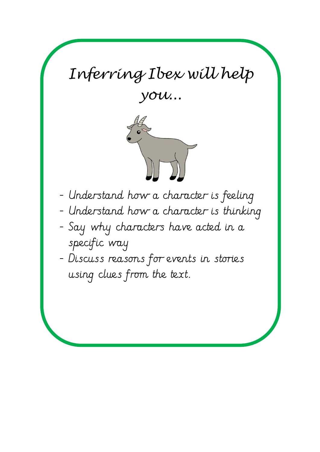## *Inferring Ibex will help you...*



- Understand how a character is feeling
- Understand how a character is thinking
- Say why characters have acted in a specific way
- Discuss reasons for events in stories using clues from the text.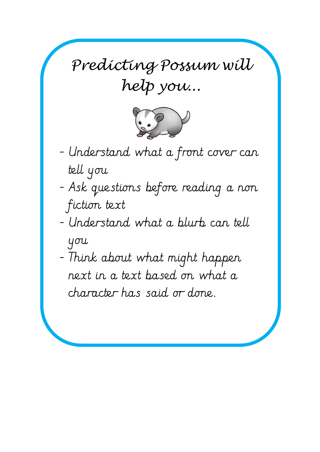*Predicting Possum will help you...*



- Understand what a front cover can tell you
- Ask questions before reading a non fiction text
- Understand what a blurb can tell you
- Think about what might happen next in a text based on what a character has said or done.